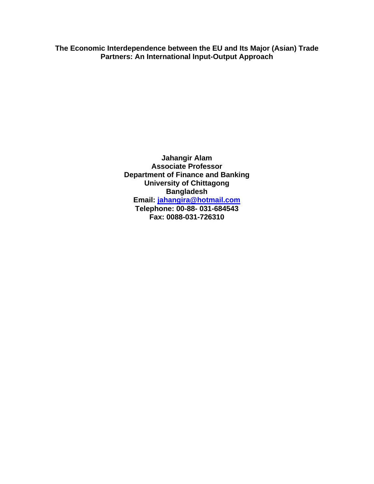**The Economic Interdependence between the EU and Its Major (Asian) Trade Partners: An International Input-Output Approach** 

> **Jahangir Alam Associate Professor Department of Finance and Banking University of Chittagong Bangladesh Email: [jahangira@hotmail.com](mailto:jahangira@hotmail.com) Telephone: 00-88- 031-684543 Fax: 0088-031-726310**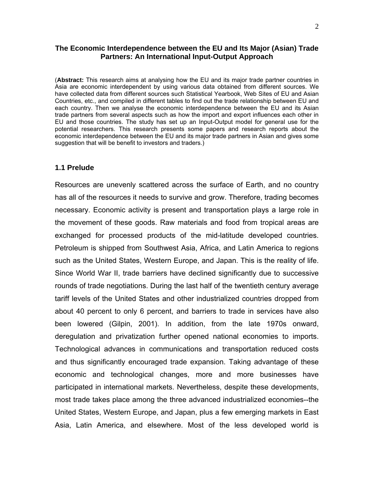### **The Economic Interdependence between the EU and Its Major (Asian) Trade Partners: An International Input-Output Approach**

(**Abstract:** This research aims at analysing how the EU and its major trade partner countries in Asia are economic interdependent by using various data obtained from different sources. We have collected data from different sources such Statistical Yearbook, Web Sites of EU and Asian Countries, etc., and compiled in different tables to find out the trade relationship between EU and each country. Then we analyse the economic interdependence between the EU and its Asian trade partners from several aspects such as how the import and export influences each other in EU and those countries. The study has set up an Input-Output model for general use for the potential researchers. This research presents some papers and research reports about the economic interdependence between the EU and its major trade partners in Asian and gives some suggestion that will be benefit to investors and traders.)

### **1.1 Prelude**

Resources are unevenly scattered across the surface of Earth, and no country has all of the resources it needs to survive and grow. Therefore, trading becomes necessary. Economic activity is present and transportation plays a large role in the movement of these goods. Raw materials and food from tropical areas are exchanged for processed products of the mid-latitude developed countries. Petroleum is shipped from Southwest Asia, Africa, and Latin America to regions such as the United States, Western Europe, and Japan. This is the reality of life. Since World War II, trade barriers have declined significantly due to successive rounds of trade negotiations. During the last half of the twentieth century average tariff levels of the United States and other industrialized countries dropped from about 40 percent to only 6 percent, and barriers to trade in services have also been lowered (Gilpin, 2001). In addition, from the late 1970s onward, deregulation and privatization further opened national economies to imports. Technological advances in communications and transportation reduced costs and thus significantly encouraged trade expansion. Taking advantage of these economic and technological changes, more and more businesses have participated in international markets. Nevertheless, despite these developments, most trade takes place among the three advanced industrialized economies--the United States, Western Europe, and Japan, plus a few emerging markets in East Asia, Latin America, and elsewhere. Most of the less developed world is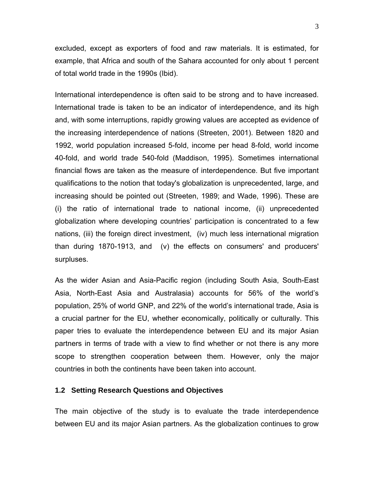excluded, except as exporters of food and raw materials. It is estimated, for example, that Africa and south of the Sahara accounted for only about 1 percent of total world trade in the 1990s (Ibid).

International interdependence is often said to be strong and to have increased. International trade is taken to be an indicator of interdependence, and its high and, with some interruptions, rapidly growing values are accepted as evidence of the increasing interdependence of nations (Streeten, 2001). Between 1820 and 1992, world population increased 5-fold, income per head 8-fold, world income 40-fold, and world trade 540-fold (Maddison, 1995). Sometimes international financial flows are taken as the measure of interdependence. But five important qualifications to the notion that today's globalization is unprecedented, large, and increasing should be pointed out (Streeten, 1989; and Wade, 1996). These are (i) the ratio of international trade to national income, (ii) unprecedented globalization where developing countries' participation is concentrated to a few nations, (iii) the foreign direct investment, (iv) much less international migration than during 1870-1913, and (v) the effects on consumers' and producers' surpluses.

As the wider Asian and Asia-Pacific region (including South Asia, South-East Asia, North-East Asia and Australasia) accounts for 56% of the world's population, 25% of world GNP, and 22% of the world's international trade, Asia is a crucial partner for the EU, whether economically, politically or culturally. This paper tries to evaluate the interdependence between EU and its major Asian partners in terms of trade with a view to find whether or not there is any more scope to strengthen cooperation between them. However, only the major countries in both the continents have been taken into account.

### **1.2 Setting Research Questions and Objectives**

The main objective of the study is to evaluate the trade interdependence between EU and its major Asian partners. As the globalization continues to grow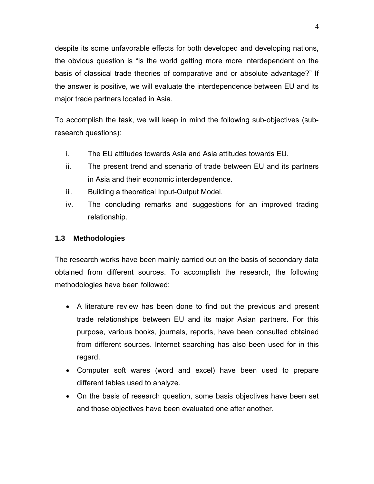despite its some unfavorable effects for both developed and developing nations, the obvious question is "is the world getting more more interdependent on the basis of classical trade theories of comparative and or absolute advantage?" If the answer is positive, we will evaluate the interdependence between EU and its major trade partners located in Asia.

To accomplish the task, we will keep in mind the following sub-objectives (subresearch questions):

- i. The EU attitudes towards Asia and Asia attitudes towards EU.
- ii. The present trend and scenario of trade between EU and its partners in Asia and their economic interdependence.
- iii. Building a theoretical Input-Output Model.
- iv. The concluding remarks and suggestions for an improved trading relationship.

## **1.3 Methodologies**

The research works have been mainly carried out on the basis of secondary data obtained from different sources. To accomplish the research, the following methodologies have been followed:

- A literature review has been done to find out the previous and present trade relationships between EU and its major Asian partners. For this purpose, various books, journals, reports, have been consulted obtained from different sources. Internet searching has also been used for in this regard.
- Computer soft wares (word and excel) have been used to prepare different tables used to analyze.
- On the basis of research question, some basis objectives have been set and those objectives have been evaluated one after another.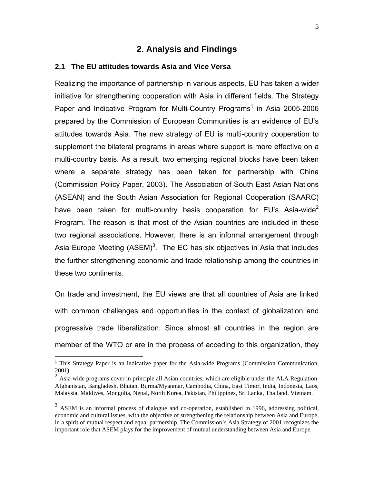# **2. Analysis and Findings**

### **2.1 The EU attitudes towards Asia and Vice Versa**

Realizing the importance of partnership in various aspects, EU has taken a wider initiative for strengthening cooperation with Asia in different fields. The Strategy Paper and Indicative Program for Multi-Country Programs<sup>1</sup> in Asia 2005-2006 prepared by the Commission of European Communities is an evidence of EU's attitudes towards Asia. The new strategy of EU is multi-country cooperation to supplement the bilateral programs in areas where support is more effective on a multi-country basis. As a result, two emerging regional blocks have been taken where a separate strategy has been taken for partnership with China (Commission Policy Paper, 2003). The Association of South East Asian Nations (ASEAN) and the South Asian Association for Regional Cooperation (SAARC) have been taken for multi-country basis cooperation for EU's Asia-wide<sup>[2](#page-4-1)</sup> Program. The reason is that most of the Asian countries are included in these two regional associations. However, there is an informal arrangement through Asia Europe Meeting  $(ASEM)^3$  $(ASEM)^3$ . The EC has six objectives in Asia that includes the further strengthening economic and trade relationship among the countries in these two continents.

On trade and investment, the EU views are that all countries of Asia are linked with common challenges and opportunities in the context of globalization and progressive trade liberalization. Since almost all countries in the region are member of the WTO or are in the process of acceding to this organization, they

<span id="page-4-0"></span>This Strategy Paper is an indicative paper for the Asia-wide Programs (Commission Communication, 2001)

<span id="page-4-1"></span> $2632/$ <br>Asia-wide programs cover in principle all Asian countries, which are eligible under the ALA Regulation: Afghanistan, Bangladesh, Bhutan, Burma/Myanmar, Cambodia, China, East Timor, India, Indonesia, Laos, Malaysia, Maldives, Mongolia, Nepal, North Korea, Pakistan, Philippines, Sri Lanka, Thailand, Vietnam.

<span id="page-4-2"></span><sup>&</sup>lt;sup>3</sup> ASEM is an informal process of dialogue and co-operation, established in 1996, addressing political, economic and cultural issues, with the objective of strengthening the relationship between Asia and Europe, in a spirit of mutual respect and equal partnership. The Commission's Asia Strategy of 2001 recognizes the important role that ASEM plays for the improvement of mutual understanding between Asia and Europe.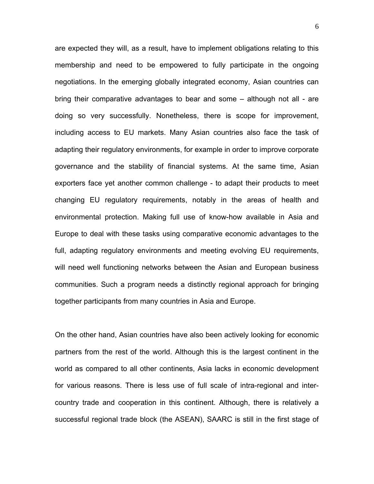are expected they will, as a result, have to implement obligations relating to this membership and need to be empowered to fully participate in the ongoing negotiations. In the emerging globally integrated economy, Asian countries can bring their comparative advantages to bear and some – although not all - are doing so very successfully. Nonetheless, there is scope for improvement, including access to EU markets. Many Asian countries also face the task of adapting their regulatory environments, for example in order to improve corporate governance and the stability of financial systems. At the same time, Asian exporters face yet another common challenge - to adapt their products to meet changing EU regulatory requirements, notably in the areas of health and environmental protection. Making full use of know-how available in Asia and Europe to deal with these tasks using comparative economic advantages to the full, adapting regulatory environments and meeting evolving EU requirements, will need well functioning networks between the Asian and European business communities. Such a program needs a distinctly regional approach for bringing together participants from many countries in Asia and Europe.

On the other hand, Asian countries have also been actively looking for economic partners from the rest of the world. Although this is the largest continent in the world as compared to all other continents, Asia lacks in economic development for various reasons. There is less use of full scale of intra-regional and intercountry trade and cooperation in this continent. Although, there is relatively a successful regional trade block (the ASEAN), SAARC is still in the first stage of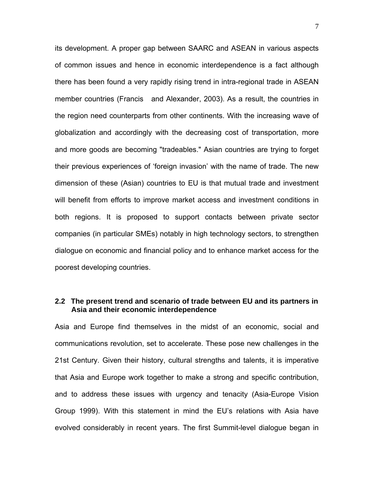its development. A proper gap between SAARC and ASEAN in various aspects of common issues and hence in economic interdependence is a fact although there has been found a very rapidly rising trend in intra-regional trade in ASEAN member countries (Francis and Alexander, 2003). As a result, the countries in the region need counterparts from other continents. With the increasing wave of globalization and accordingly with the decreasing cost of transportation, more and more goods are becoming "tradeables." Asian countries are trying to forget their previous experiences of 'foreign invasion' with the name of trade. The new dimension of these (Asian) countries to EU is that mutual trade and investment will benefit from efforts to improve market access and investment conditions in both regions. It is proposed to support contacts between private sector companies (in particular SMEs) notably in high technology sectors, to strengthen dialogue on economic and financial policy and to enhance market access for the poorest developing countries.

### **2.2 The present trend and scenario of trade between EU and its partners in Asia and their economic interdependence**

Asia and Europe find themselves in the midst of an economic, social and communications revolution, set to accelerate. These pose new challenges in the 21st Century. Given their history, cultural strengths and talents, it is imperative that Asia and Europe work together to make a strong and specific contribution, and to address these issues with urgency and tenacity (Asia-Europe Vision Group 1999). With this statement in mind the EU's relations with Asia have evolved considerably in recent years. The first Summit-level dialogue began in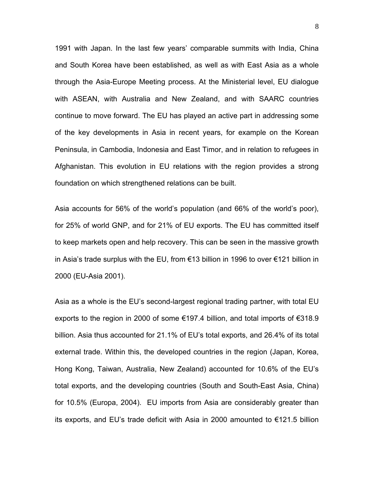1991 with Japan. In the last few years' comparable summits with India, China and South Korea have been established, as well as with East Asia as a whole through the Asia-Europe Meeting process. At the Ministerial level, EU dialogue with ASEAN, with Australia and New Zealand, and with SAARC countries continue to move forward. The EU has played an active part in addressing some of the key developments in Asia in recent years, for example on the Korean Peninsula, in Cambodia, Indonesia and East Timor, and in relation to refugees in Afghanistan. This evolution in EU relations with the region provides a strong foundation on which strengthened relations can be built.

Asia accounts for 56% of the world's population (and 66% of the world's poor), for 25% of world GNP, and for 21% of EU exports. The EU has committed itself to keep markets open and help recovery. This can be seen in the massive growth in Asia's trade surplus with the EU, from €13 billion in 1996 to over €121 billion in 2000 (EU-Asia 2001).

Asia as a whole is the EU's second-largest regional trading partner, with total EU exports to the region in 2000 of some €197.4 billion, and total imports of €318.9 billion. Asia thus accounted for 21.1% of EU's total exports, and 26.4% of its total external trade. Within this, the developed countries in the region (Japan, Korea, Hong Kong, Taiwan, Australia, New Zealand) accounted for 10.6% of the EU's total exports, and the developing countries (South and South-East Asia, China) for 10.5% (Europa, 2004). EU imports from Asia are considerably greater than its exports, and EU's trade deficit with Asia in 2000 amounted to €121.5 billion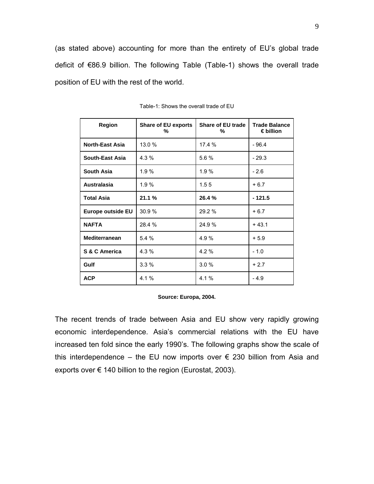(as stated above) accounting for more than the entirety of EU's global trade deficit of €86.9 billion. The following Table (Table-1) shows the overall trade position of EU with the rest of the world.

| <b>Region</b>          | <b>Share of EU exports</b><br>% | <b>Share of EU trade</b><br>% | <b>Trade Balance</b><br>$\epsilon$ billion |  |  |
|------------------------|---------------------------------|-------------------------------|--------------------------------------------|--|--|
| <b>North-East Asia</b> | 13.0 %                          | 17.4 %                        | $-96.4$                                    |  |  |
| South-East Asia        | $4.3\%$                         | 5.6 %                         | $-29.3$                                    |  |  |
| <b>South Asia</b>      | 1.9%                            | 1.9%                          | $-2.6$                                     |  |  |
| <b>Australasia</b>     | 1.9%                            | 1.55                          | $+6.7$                                     |  |  |
| <b>Total Asia</b>      | 21.1%                           | 26.4%                         | $-121.5$                                   |  |  |
| Europe outside EU      | 30.9%                           | 29.2 %                        | $+6.7$                                     |  |  |
| <b>NAFTA</b>           | 28.4 %                          | 24.9%                         | $+43.1$                                    |  |  |
| <b>Mediterranean</b>   | 5.4%                            | 4.9 %                         | $+5.9$                                     |  |  |
| S & C America          | 4.3 %                           | $4.2 \%$                      | $-1.0$                                     |  |  |
| Gulf                   | 3.3%                            | 3.0%                          | $+2.7$                                     |  |  |
| <b>ACP</b>             | 4.1%                            | 4.1 %                         | $-4.9$                                     |  |  |

| Table-1: Shows the overall trade of EU |
|----------------------------------------|
|----------------------------------------|

#### **Source: Europa, 2004.**

The recent trends of trade between Asia and EU show very rapidly growing economic interdependence. Asia's commercial relations with the EU have increased ten fold since the early 1990's. The following graphs show the scale of this interdependence – the EU now imports over  $\epsilon$  230 billion from Asia and exports over  $\epsilon$  140 billion to the region (Eurostat, 2003).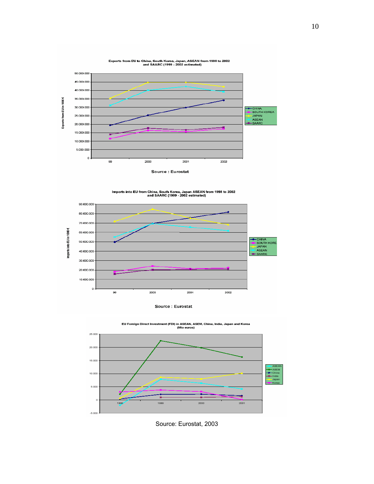

Imports into EU from China, South Korea, Japan ASEAN from 1998 to 2002<br>and SAARC (1999 - 2002 estimated)



Source : Eurostat





Source: Eurostat, 2003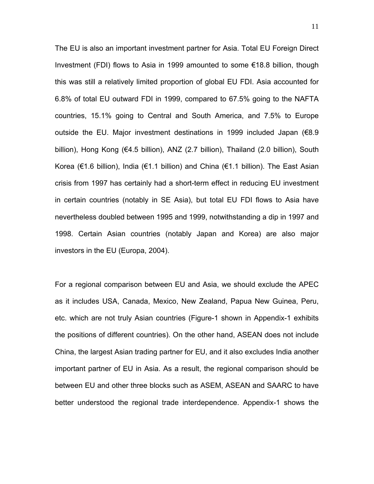The EU is also an important investment partner for Asia. Total EU Foreign Direct Investment (FDI) flows to Asia in 1999 amounted to some €18.8 billion, though this was still a relatively limited proportion of global EU FDI. Asia accounted for 6.8% of total EU outward FDI in 1999, compared to 67.5% going to the NAFTA countries, 15.1% going to Central and South America, and 7.5% to Europe outside the EU. Major investment destinations in 1999 included Japan (€8.9 billion), Hong Kong (€4.5 billion), ANZ (2.7 billion), Thailand (2.0 billion), South Korea (€1.6 billion), India (€1.1 billion) and China (€1.1 billion). The East Asian crisis from 1997 has certainly had a short-term effect in reducing EU investment in certain countries (notably in SE Asia), but total EU FDI flows to Asia have nevertheless doubled between 1995 and 1999, notwithstanding a dip in 1997 and 1998. Certain Asian countries (notably Japan and Korea) are also major investors in the EU (Europa, 2004).

For a regional comparison between EU and Asia, we should exclude the APEC as it includes USA, Canada, Mexico, New Zealand, Papua New Guinea, Peru, etc. which are not truly Asian countries (Figure-1 shown in Appendix-1 exhibits the positions of different countries). On the other hand, ASEAN does not include China, the largest Asian trading partner for EU, and it also excludes India another important partner of EU in Asia. As a result, the regional comparison should be between EU and other three blocks such as ASEM, ASEAN and SAARC to have better understood the regional trade interdependence. Appendix-1 shows the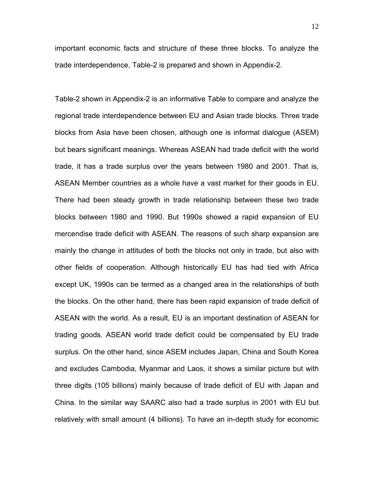important economic facts and structure of these three blocks. To analyze the trade interdependence, Table-2 is prepared and shown in Appendix-2.

Table-2 shown in Appendix-2 is an informative Table to compare and analyze the regional trade interdependence between EU and Asian trade blocks. Three trade blocks from Asia have been chosen, although one is informal dialogue (ASEM) but bears significant meanings. Whereas ASEAN had trade deficit with the world trade, it has a trade surplus over the years between 1980 and 2001. That is, ASEAN Member countries as a whole have a vast market for their goods in EU. There had been steady growth in trade relationship between these two trade blocks between 1980 and 1990. But 1990s showed a rapid expansion of EU mercendise trade deficit with ASEAN. The reasons of such sharp expansion are mainly the change in attitudes of both the blocks not only in trade, but also with other fields of cooperation. Although historically EU has had tied with Africa except UK, 1990s can be termed as a changed area in the relationships of both the blocks. On the other hand, there has been rapid expansion of trade deficit of ASEAN with the world. As a result, EU is an important destination of ASEAN for trading goods. ASEAN world trade deficit could be compensated by EU trade surplus. On the other hand, since ASEM includes Japan, China and South Korea and excludes Cambodia, Myanmar and Laos, it shows a similar picture but with three digits (105 billions) mainly because of trade deficit of EU with Japan and China. In the similar way SAARC also had a trade surplus in 2001 with EU but relatively with small amount (4 billions). To have an in-depth study for economic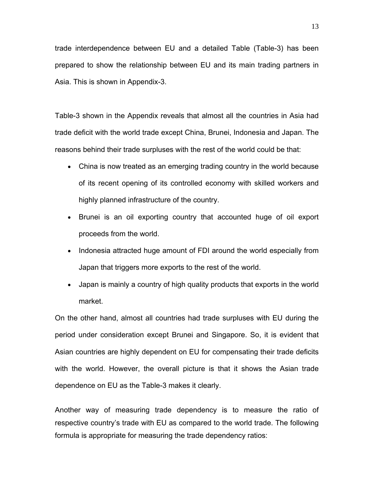trade interdependence between EU and a detailed Table (Table-3) has been prepared to show the relationship between EU and its main trading partners in Asia. This is shown in Appendix-3.

Table-3 shown in the Appendix reveals that almost all the countries in Asia had trade deficit with the world trade except China, Brunei, Indonesia and Japan. The reasons behind their trade surpluses with the rest of the world could be that:

- China is now treated as an emerging trading country in the world because of its recent opening of its controlled economy with skilled workers and highly planned infrastructure of the country.
- Brunei is an oil exporting country that accounted huge of oil export proceeds from the world.
- Indonesia attracted huge amount of FDI around the world especially from Japan that triggers more exports to the rest of the world.
- Japan is mainly a country of high quality products that exports in the world market.

On the other hand, almost all countries had trade surpluses with EU during the period under consideration except Brunei and Singapore. So, it is evident that Asian countries are highly dependent on EU for compensating their trade deficits with the world. However, the overall picture is that it shows the Asian trade dependence on EU as the Table-3 makes it clearly.

Another way of measuring trade dependency is to measure the ratio of respective country's trade with EU as compared to the world trade. The following formula is appropriate for measuring the trade dependency ratios: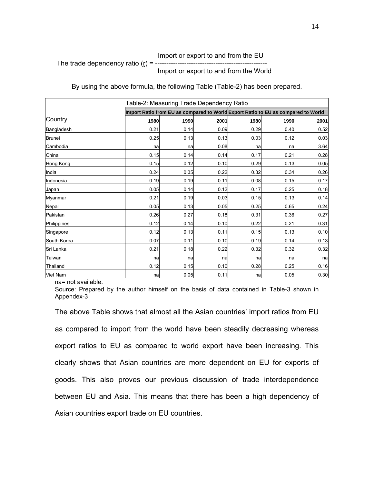### Import or export to and from the EU The trade dependency ratio  $(r) = -1$ Import or export to and from the World

By using the above formula, the following Table (Table-2) has been prepared.

| Table-2: Measuring Trade Dependency Ratio |      |                                                                                   |      |      |      |      |  |  |  |  |  |  |  |  |  |
|-------------------------------------------|------|-----------------------------------------------------------------------------------|------|------|------|------|--|--|--|--|--|--|--|--|--|
|                                           |      | Import Ratio from EU as compared to World Export Ratio to EU as compared to World |      |      |      |      |  |  |  |  |  |  |  |  |  |
| Country                                   | 1980 | 1990                                                                              | 2001 | 1980 | 1990 | 2001 |  |  |  |  |  |  |  |  |  |
| Bangladesh                                | 0.21 | 0.14                                                                              | 0.09 | 0.29 | 0.40 | 0.52 |  |  |  |  |  |  |  |  |  |
| <b>Brunei</b>                             | 0.25 | 0.13                                                                              | 0.13 | 0.03 | 0.12 | 0.03 |  |  |  |  |  |  |  |  |  |
| Cambodia                                  | na   | na                                                                                | 0.08 | na   | na   | 3.64 |  |  |  |  |  |  |  |  |  |
| China                                     | 0.15 | 0.14                                                                              | 0.14 | 0.17 | 0.21 | 0.28 |  |  |  |  |  |  |  |  |  |
| Hong Kong                                 | 0.15 | 0.12                                                                              | 0.10 | 0.29 | 0.13 | 0.05 |  |  |  |  |  |  |  |  |  |
| India                                     | 0.24 | 0.35                                                                              | 0.22 | 0.32 | 0.34 | 0.26 |  |  |  |  |  |  |  |  |  |
| Indonesia                                 | 0.19 | 0.19                                                                              | 0.11 | 0.08 | 0.15 | 0.17 |  |  |  |  |  |  |  |  |  |
| Japan                                     | 0.05 | 0.14                                                                              | 0.12 | 0.17 | 0.25 | 0.18 |  |  |  |  |  |  |  |  |  |
| Myanmar                                   | 0.21 | 0.19                                                                              | 0.03 | 0.15 | 0.13 | 0.14 |  |  |  |  |  |  |  |  |  |
| Nepal                                     | 0.05 | 0.13                                                                              | 0.05 | 0.25 | 0.65 | 0.24 |  |  |  |  |  |  |  |  |  |
| Pakistan                                  | 0.26 | 0.27                                                                              | 0.18 | 0.31 | 0.36 | 0.27 |  |  |  |  |  |  |  |  |  |
| Philippines                               | 0.12 | 0.14                                                                              | 0.10 | 0.22 | 0.21 | 0.31 |  |  |  |  |  |  |  |  |  |
| Singapore                                 | 0.12 | 0.13                                                                              | 0.11 | 0.15 | 0.13 | 0.10 |  |  |  |  |  |  |  |  |  |
| South Korea                               | 0.07 | 0.11                                                                              | 0.10 | 0.19 | 0.14 | 0.13 |  |  |  |  |  |  |  |  |  |
| Sri Lanka                                 | 0.21 | 0.18                                                                              | 0.22 | 0.32 | 0.32 | 0.32 |  |  |  |  |  |  |  |  |  |
| Taiwan                                    | na   | na                                                                                | nal  | na   | na   | na   |  |  |  |  |  |  |  |  |  |
| Thailand                                  | 0.12 | 0.15                                                                              | 0.10 | 0.28 | 0.25 | 0.16 |  |  |  |  |  |  |  |  |  |
| <b>Viet Nam</b>                           | na   | 0.05                                                                              | 0.11 | na   | 0.05 | 0.30 |  |  |  |  |  |  |  |  |  |

na= not available.

Source: Prepared by the author himself on the basis of data contained in Table-3 shown in Appendex-3

The above Table shows that almost all the Asian countries' import ratios from EU as compared to import from the world have been steadily decreasing whereas export ratios to EU as compared to world export have been increasing. This clearly shows that Asian countries are more dependent on EU for exports of goods. This also proves our previous discussion of trade interdependence between EU and Asia. This means that there has been a high dependency of Asian countries export trade on EU countries.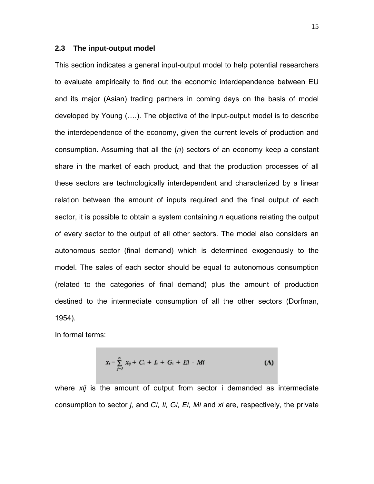### **2.3 The input-output model**

This section indicates a general input-output model to help potential researchers to evaluate empirically to find out the economic interdependence between EU and its major (Asian) trading partners in coming days on the basis of model developed by Young (….). The objective of the input-output model is to describe the interdependence of the economy, given the current levels of production and consumption. Assuming that all the (*n*) sectors of an economy keep a constant share in the market of each product, and that the production processes of all these sectors are technologically interdependent and characterized by a linear relation between the amount of inputs required and the final output of each sector, it is possible to obtain a system containing *n* equations relating the output of every sector to the output of all other sectors. The model also considers an autonomous sector (final demand) which is determined exogenously to the model. The sales of each sector should be equal to autonomous consumption (related to the categories of final demand) plus the amount of production destined to the intermediate consumption of all the other sectors (Dorfman, 1954).

In formal terms:

$$
x_i = \sum_{j=1}^n x_{ij} + C_i + I_i + G_i + E_i - Mi
$$
 (A)

where *xij* is the amount of output from sector i demanded as intermediate consumption to sector *j*, and *Ci, Ii, Gi, Ei, Mi* and *xi* are, respectively, the private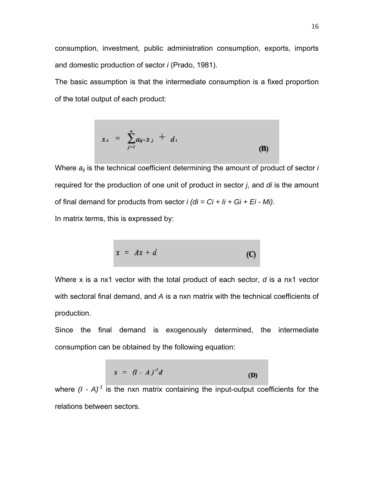consumption, investment, public administration consumption, exports, imports and domestic production of sector *i* (Prado, 1981).

The basic assumption is that the intermediate consumption is a fixed proportion of the total output of each product:

$$
x_i = \sum_{j=1}^n a_{ij} \cdot x_j + d_i \tag{B}
$$

Where  $a_{ii}$  is the technical coefficient determining the amount of product of sector *i* required for the production of one unit of product in sector *j*, and *di* is the amount of final demand for products from sector *i (di = Ci + Ii + Gi + Ei - Mi)*.

In matrix terms, this is expressed by:

$$
x = Ax + d \tag{C}
$$

Where x is a nx1 vector with the total product of each sector, *d* is a nx1 vector with sectoral final demand, and *A* is a nxn matrix with the technical coefficients of production.

Since the final demand is exogenously determined, the intermediate consumption can be obtained by the following equation:

$$
x = (I - A)^{-1}d
$$
 (D)

where  $(I - A)^{-1}$  is the nxn matrix containing the input-output coefficients for the relations between sectors.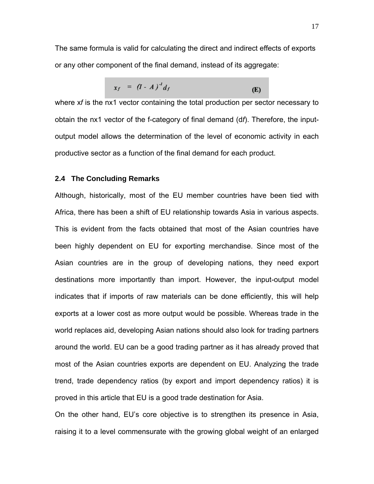The same formula is valid for calculating the direct and indirect effects of exports or any other component of the final demand, instead of its aggregate:

$$
x_f = (I - A)^d d_f
$$
 (E)

where x*f* is the nx1 vector containing the total production per sector necessary to obtain the nx1 vector of the f-category of final demand (d*f*). Therefore, the inputoutput model allows the determination of the level of economic activity in each productive sector as a function of the final demand for each product.

### **2.4 The Concluding Remarks**

Although, historically, most of the EU member countries have been tied with Africa, there has been a shift of EU relationship towards Asia in various aspects. This is evident from the facts obtained that most of the Asian countries have been highly dependent on EU for exporting merchandise. Since most of the Asian countries are in the group of developing nations, they need export destinations more importantly than import. However, the input-output model indicates that if imports of raw materials can be done efficiently, this will help exports at a lower cost as more output would be possible. Whereas trade in the world replaces aid, developing Asian nations should also look for trading partners around the world. EU can be a good trading partner as it has already proved that most of the Asian countries exports are dependent on EU. Analyzing the trade trend, trade dependency ratios (by export and import dependency ratios) it is proved in this article that EU is a good trade destination for Asia.

On the other hand, EU's core objective is to strengthen its presence in Asia, raising it to a level commensurate with the growing global weight of an enlarged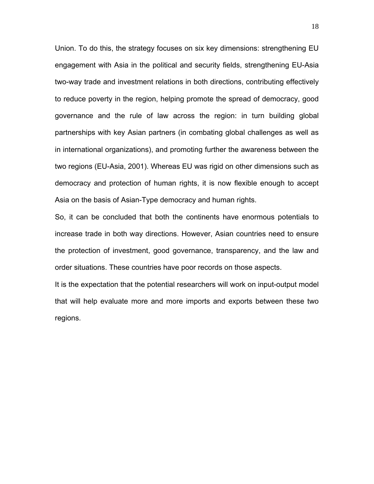Union. To do this, the strategy focuses on six key dimensions: strengthening EU engagement with Asia in the political and security fields, strengthening EU-Asia two-way trade and investment relations in both directions, contributing effectively to reduce poverty in the region, helping promote the spread of democracy, good governance and the rule of law across the region: in turn building global partnerships with key Asian partners (in combating global challenges as well as in international organizations), and promoting further the awareness between the two regions (EU-Asia, 2001). Whereas EU was rigid on other dimensions such as democracy and protection of human rights, it is now flexible enough to accept Asia on the basis of Asian-Type democracy and human rights.

So, it can be concluded that both the continents have enormous potentials to increase trade in both way directions. However, Asian countries need to ensure the protection of investment, good governance, transparency, and the law and order situations. These countries have poor records on those aspects.

It is the expectation that the potential researchers will work on input-output model that will help evaluate more and more imports and exports between these two regions.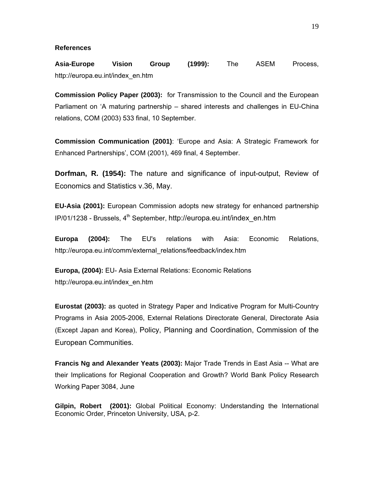#### **References**

**Asia-Europe Vision Group (1999):** The ASEM Process, http://europa.eu.int/index\_en.htm

**Commission Policy Paper (2003):** for Transmission to the Council and the European Parliament on 'A maturing partnership – shared interests and challenges in EU-China relations, COM (2003) 533 final, 10 September.

**Commission Communication (2001)**: 'Europe and Asia: A Strategic Framework for Enhanced Partnerships', COM (2001), 469 final, 4 September.

**Dorfman, R. (1954):** The nature and significance of input-output, Review of Economics and Statistics v.36, May.

**EU-Asia (2001):** European Commission adopts new strategy for enhanced partnership IP/01/1238 - Brussels, 4<sup>th</sup> September, http://europa.eu.int/index\_en.htm

**Europa (2004):** The EU's relations with Asia: Economic Relations, http://europa.eu.int/comm/external\_relations/feedback/index.htm

**Europa, (2004):** EU- Asia External Relations: Economic Relations http://europa.eu.int/index\_en.htm

**Eurostat (2003):** as quoted in Strategy Paper and Indicative Program for Multi-Country Programs in Asia 2005-2006, External Relations Directorate General, Directorate Asia (Except Japan and Korea), Policy, Planning and Coordination, Commission of the European Communities.

**Francis Ng and Alexander Yeats (2003):** Major Trade Trends in East Asia -- What are their Implications for Regional Cooperation and Growth? World Bank Policy Research Working Paper 3084, June

**Gilpin, Robert (2001):** Global Political Economy: Understanding the International Economic Order, Princeton University, USA, p-2.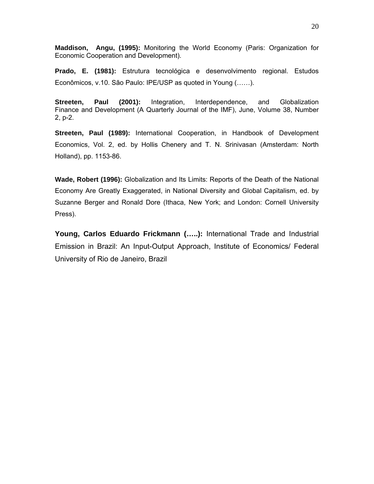**Maddison, Angu, (1995):** Monitoring the World Economy (Paris: Organization for Economic Cooperation and Development).

**Prado, E. (1981):** Estrutura tecnológica e desenvolvimento regional. Estudos Econômicos, v.10. São Paulo: IPE/USP as quoted in Young (……).

**Streeten, Paul (2001):** Integration, Interdependence, and Globalization Finance and Development (A Quarterly Journal of the IMF), June, Volume 38, Number 2, p-2.

**Streeten, Paul (1989):** International Cooperation, in Handbook of Development Economics, Vol. 2, ed. by Hollis Chenery and T. N. Srinivasan (Amsterdam: North Holland), pp. 1153-86.

**Wade, Robert (1996):** Globalization and Its Limits: Reports of the Death of the National Economy Are Greatly Exaggerated, in National Diversity and Global Capitalism, ed. by Suzanne Berger and Ronald Dore (Ithaca, New York; and London: Cornell University Press).

**Young, Carlos Eduardo Frickmann (…..):** International Trade and Industrial Emission in Brazil: An Input-Output Approach, Institute of Economics/ Federal University of Rio de Janeiro, Brazil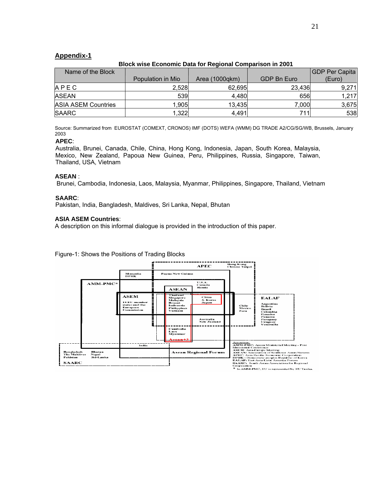### **Appendix-1**

### **Block wise Economic Data for Regional Comparison in 2001**

| Name of the Block          |                   |                      |             | <b>GDP Per Capita</b> |
|----------------------------|-------------------|----------------------|-------------|-----------------------|
|                            | Population in Mio | Area $(1000$ gkm $)$ | GDP Bn Euro | (Euro)                |
| A P E C                    | 2.528             | 62.695               | 23,436      | 9,271                 |
| <b>ASEAN</b>               | 539               | 4,480                | 656         | 1,217                 |
| <b>ASIA ASEM Countries</b> | 1.905             | 13,435               | 7,000       | 3,675                 |
| <b>SAARC</b>               | .322              | 4,491                | 711l        | 538                   |

Source: Summarized from EUROSTAT (COMEXT, CRONOS) IMF (DOTS) WEFA (WMM) DG TRADE A2/CG/SG/WB, Brussels, January 2003

### **APEC**:

Australia, Brunei, Canada, Chile, China, Hong Kong, Indonesia, Japan, South Korea, Malaysia, Mexico, New Zealand, Papoua New Guinea, Peru, Philippines, Russia, Singapore, Taiwan, Thailand, USA, Vietnam

#### **ASEAN** :

Brunei, Cambodia, Indonesia, Laos, Malaysia, Myanmar, Philippines, Singapore, Thailand, Vietnam

#### **SAARC**:

Pakistan, India, Bangladesh, Maldives, Sri Lanka, Nepal, Bhutan

#### **ASIA ASEM Countries**:

A description on this informal dialogue is provided in the introduction of this paper.

### Figure-1: Shows the Positions of Trading Blocks

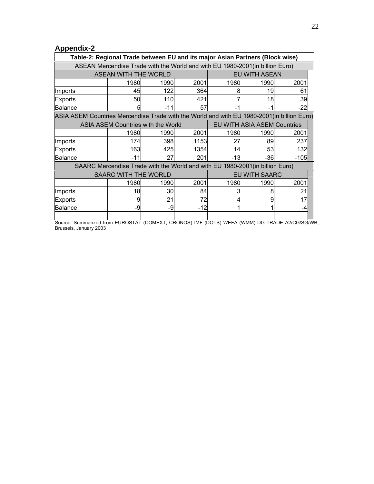# **Appendix-2**

|                                                                                            | Table-2: Regional Trade between EU and its major Asian Partners (Block wise) |               |       |      |       |       |  |  |  |  |  |  |  |
|--------------------------------------------------------------------------------------------|------------------------------------------------------------------------------|---------------|-------|------|-------|-------|--|--|--|--|--|--|--|
| ASEAN Mercendise Trade with the World and with EU 1980-2001 (in billion Euro)              |                                                                              |               |       |      |       |       |  |  |  |  |  |  |  |
|                                                                                            | <b>ASEAN WITH THE WORLD</b>                                                  | EU WITH ASEAN |       |      |       |       |  |  |  |  |  |  |  |
|                                                                                            | 1980                                                                         | 1990          | 2001  | 1980 | 1990  | 2001  |  |  |  |  |  |  |  |
| Ilmports                                                                                   | 45                                                                           | 122           | 364   | 8    | 19    | 61    |  |  |  |  |  |  |  |
| Exports                                                                                    | 50                                                                           | 110           | 421   |      | 18    | 39    |  |  |  |  |  |  |  |
| Balance                                                                                    | 5                                                                            | -11           | 57    | -1   | -1    | $-22$ |  |  |  |  |  |  |  |
| ASIA ASEM Countries Mercendise Trade with the World and with EU 1980-2001(in billion Euro) |                                                                              |               |       |      |       |       |  |  |  |  |  |  |  |
| EU WITH ASIA ASEM Countries<br>ASIA ASEM Countries with the World                          |                                                                              |               |       |      |       |       |  |  |  |  |  |  |  |
|                                                                                            | 1980                                                                         | 1990          | 2001  | 1980 | 1990  | 2001  |  |  |  |  |  |  |  |
| Imports                                                                                    | 174                                                                          | 398           | 1153  | 27   | 89    | 237   |  |  |  |  |  |  |  |
| Exports                                                                                    | 163                                                                          | 425           | 1354  | 14   | 53    | 132   |  |  |  |  |  |  |  |
| Balance                                                                                    | $-11$                                                                        | 27            | 201   | -13  | $-36$ | -105  |  |  |  |  |  |  |  |
| SAARC Mercendise Trade with the World and with EU 1980-2001(in billion Euro)               |                                                                              |               |       |      |       |       |  |  |  |  |  |  |  |
| <b>SAARC WITH THE WORLD</b><br><b>EU WITH SAARC</b>                                        |                                                                              |               |       |      |       |       |  |  |  |  |  |  |  |
|                                                                                            | 1980                                                                         | 1990          | 2001  | 1980 | 1990  | 2001  |  |  |  |  |  |  |  |
| Imports                                                                                    | 18                                                                           | 30            | 84    | 3    | 8     | 21    |  |  |  |  |  |  |  |
| Exports                                                                                    | 9                                                                            | 21            | 72    | 4    | 9     | 17    |  |  |  |  |  |  |  |
| Balance                                                                                    | -9                                                                           | -9            | $-12$ |      |       | -4    |  |  |  |  |  |  |  |
|                                                                                            |                                                                              |               |       |      |       |       |  |  |  |  |  |  |  |

Source: Summarized from EUROSTAT (COMEXT, CRONOS) IMF (DOTS) WEFA (WMM) DG TRADE A2/CG/SG/WB, Brussels, January 2003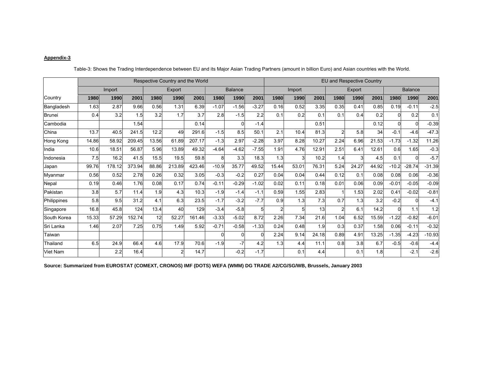#### **Appendix-3**

|                 | Respective Country and the World |        |        |       |        |        |          |                |         | <b>EU and Respective Country</b> |                  |       |                |       |                |         |          |          |
|-----------------|----------------------------------|--------|--------|-------|--------|--------|----------|----------------|---------|----------------------------------|------------------|-------|----------------|-------|----------------|---------|----------|----------|
|                 |                                  | Import |        |       | Export |        |          | <b>Balance</b> |         |                                  | Import<br>Export |       |                |       | <b>Balance</b> |         |          |          |
| Country         | 1980                             | 1990   | 2001   | 1980  | 1990   | 2001   | 1980     | 1990           | 2001    | 1980                             | 1990             | 2001  | 1980           | 1990  | 2001           | 1980    | 1990     | 2001     |
| Bangladesh      | 1.63                             | 2.87   | 9.66   | 0.56  | 1.31   | 6.39   | $-1.07$  | $-1.56$        | $-3.27$ | 0.16                             | 0.52             | 3.35  | 0.35           | 0.41  | 0.85           | 0.19    | $-0.11$  | $-2.5$   |
| <b>Brunei</b>   | 0.4                              | 3.2    | 1.5    | 3.2   | 1.7    | 3.7    | 2.8      | $-1.5$         | 2.2     | 0.1                              | 0.2              | 0.1   | 0.1            | 0.4   | 0.2            |         | 0.2      | 0.1      |
| Cambodia        |                                  |        | 1.54   |       |        | 0.14   |          | ŋ              | $-1.4$  |                                  |                  | 0.51  |                |       | 0.12           |         |          | $-0.39$  |
| China           | 13.7                             | 40.5   | 241.5  | 12.2  | 49     | 291.6  | $-1.5$   | 8.5            | 50.1    | 2.1                              | 10.4             | 81.3  | $\overline{2}$ | 5.8   | 34             | $-0.1$  | $-4.6$   | $-47.3$  |
| Hong Kong       | 14.86                            | 58.92  | 209.45 | 13.56 | 61.89  | 207.17 | $-1.3$   | 2.97           | $-2.28$ | 3.97                             | 8.28             | 10.27 | 2.24           | 6.96  | 21.53          | $-1.73$ | $-1.32$  | 11.26    |
| India           | 10.6                             | 18.51  | 56.87  | 5.96  | 13.89  | 49.32  | $-4.64$  | $-4.62$        | $-7.55$ | 1.91                             | 4.76             | 12.91 | 2.51           | 6.41  | 12.61          | 0.6     | 1.65     | $-0.3$   |
| ndonesia        | 7.5                              | 16.2   | 41.5   | 15.5  | 19.5   | 59.8   | 8        | 3.3            | 18.3    | 1.3                              |                  | 10.2  | 1.4            |       | 4.5            | 0.1     | $\Omega$ | $-5.7$   |
| Japan           | 99.76                            | 178.12 | 373.94 | 88.86 | 213.89 | 423.46 | $-10.9$  | 35.77          | 49.52   | 15.44                            | 53.01            | 76.31 | 5.24           | 24.27 | 44.92          | $-10.2$ | $-28.74$ | $-31.39$ |
| Myanmar         | 0.56                             | 0.52   | 2.78   | 0.26  | 0.32   | 3.05   | $-0.3$   | $-0.2$         | 0.27    | 0.04                             | 0.04             | 0.44  | 0.12           | 0.1   | 0.08           | 0.08    | 0.06     | $-0.36$  |
| Nepal           | 0.19                             | 0.46   | 1.76   | 0.08  | 0.17   | 0.74   | $-0.11$  | $-0.29$        | $-1.02$ | 0.02                             | 0.11             | 0.18  | 0.01           | 0.06  | 0.09           | $-0.01$ | $-0.05$  | $-0.09$  |
| Pakistan        | 3.8                              | 5.7    | 11.4   | 1.9   | 4.3    | 10.3   | $-1.9$   | $-1.4$         | $-1.1$  | 0.59                             | 1.55             | 2.83  |                | 1.53  | 2.02           | 0.41    | $-0.02$  | $-0.81$  |
| Philippines     | 5.8                              | 9.5    | 31.2   | 4.1   | 6.3    | 23.5   | $-1.7$   | $-3.2$         | $-7.7$  | 0.9                              | 1.3              | 7.3   | 0.7            | 1.3   | 3.2            | $-0.2$  | $\Omega$ | $-4.1$   |
| Singapore       | 16.8                             | 45.8   | 124    | 13.4  | 40     | 129    | $-3.4$   | $-5.8$         | 5       |                                  | 5                | 13    |                | 6.1   | 14.2           | O       | 1.1      | 1.2      |
| South Korea     | 15.33                            | 57.29  | 152.74 | 12    | 52.27  | 161.46 | $-3.33$  | $-5.02$        | 8.72    | 2.26                             | 7.34             | 21.6  | 1.04           | 6.52  | 15.59          | $-1.22$ | $-0.82$  | $-6.01$  |
| Sri Lanka       | 1.46                             | 2.07   | 7.25   | 0.75  | 1.49   | 5.92   | $-0.71$  | $-0.58$        | $-1.33$ | 0.24                             | 0.48             | 1.9   | 0.3            | 0.37  | 1.58           | 0.06    | $-0.11$  | $-0.32$  |
| Taiwan          |                                  |        |        |       |        |        | $\Omega$ | ŋ              | 0       | 2.24                             | 9.14             | 24.18 | 0.89           | 4.91  | 13.25          | $-1.35$ | $-4.23$  | $-10.93$ |
| Thailand        | 6.5                              | 24.9   | 66.4   | 4.6   | 17.9   | 70.6   | $-1.9$   | $-7$           | 4.2     | 1.3                              | 4.4              | 11.1  | 0.8            | 3.8   | 6.7            | $-0.5$  | $-0.6$   | $-4.4$   |
| <b>Viet Nam</b> |                                  | 2.2    | 16.4   |       | 2      | 14.7   |          | $-0.2$         | $-1.7$  |                                  | 0.1              | 4.4   |                | 0.1   | 1.8            |         | $-2.1$   | $-2.6$   |

Table-3: Shows the Trading Interdependence between EU and its Major Asian Trading Partners (amount in billion Euro) and Asian countries with the World.

**Source: Summarized from EUROSTAT (COMEXT, CRONOS) IMF (DOTS) WEFA (WMM) DG TRADE A2/CG/SG/WB, Brussels, January 2003**